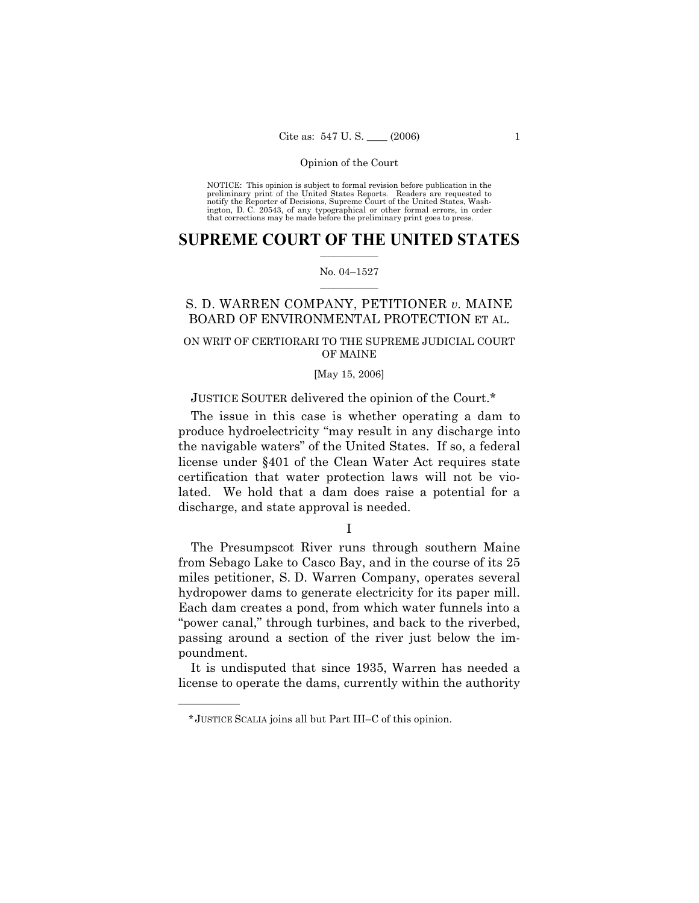NOTICE: This opinion is subject to formal revision before publication in the preliminary print of the United States Reports. Readers are requested to notify the Reporter of Decisions, Supreme Court of the United States, Washington, D. C. 20543, of any typographical or other formal errors, in order that corrections may be made before the preliminary print goes to press.

## **SUPREME COURT OF THE UNITED STATES**  $\frac{1}{2}$  ,  $\frac{1}{2}$  ,  $\frac{1}{2}$  ,  $\frac{1}{2}$  ,  $\frac{1}{2}$  ,  $\frac{1}{2}$  ,  $\frac{1}{2}$

#### No. 04-1527  $\mathcal{L}=\mathcal{L}$

# S. D. WARREN COMPANY, PETITIONER *v.* MAINE BOARD OF ENVIRONMENTAL PROTECTION ET AL.

# ON WRIT OF CERTIORARI TO THE SUPREME JUDICIAL COURT OF MAINE

## [May 15, 2006]

# JUSTICE SOUTER delivered the opinion of the Court.\*

 The issue in this case is whether operating a dam to produce hydroelectricity "may result in any discharge into the navigable watersî of the United States. If so, a federal license under ß401 of the Clean Water Act requires state certification that water protection laws will not be violated. We hold that a dam does raise a potential for a discharge, and state approval is needed.

I

 The Presumpscot River runs through southern Maine from Sebago Lake to Casco Bay, and in the course of its 25 miles petitioner, S. D. Warren Company, operates several hydropower dams to generate electricity for its paper mill. Each dam creates a pond, from which water funnels into a "power canal," through turbines, and back to the riverbed, passing around a section of the river just below the impoundment.

 It is undisputed that since 1935, Warren has needed a license to operate the dams, currently within the authority

<sup>\*</sup> JUSTICE SCALIA joins all but Part III–C of this opinion.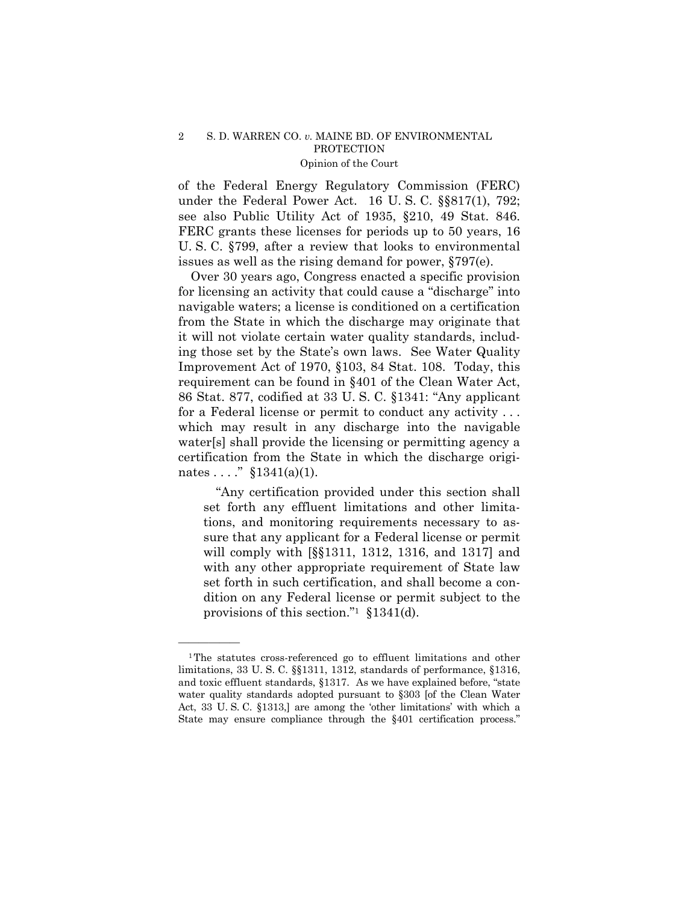of the Federal Energy Regulatory Commission (FERC) under the Federal Power Act. 16 U.S.C. §§817(1), 792; see also Public Utility Act of 1935, ß210, 49 Stat. 846. FERC grants these licenses for periods up to 50 years, 16 U. S. C. ß799, after a review that looks to environmental issues as well as the rising demand for power, ß797(e).

 Over 30 years ago, Congress enacted a specific provision for licensing an activity that could cause a "discharge" into navigable waters; a license is conditioned on a certification from the State in which the discharge may originate that it will not violate certain water quality standards, including those set by the State's own laws. See Water Quality Improvement Act of 1970, ß103, 84 Stat. 108. Today, this requirement can be found in ß401 of the Clean Water Act, 86 Stat. 877, codified at 33 U.S.C.  $$1341:$  "Any applicant" for a Federal license or permit to conduct any activity . . . which may result in any discharge into the navigable water[s] shall provide the licensing or permitting agency a certification from the State in which the discharge originates ...."  $$1341(a)(1)$ .

 ìAny certification provided under this section shall set forth any effluent limitations and other limitations, and monitoring requirements necessary to assure that any applicant for a Federal license or permit will comply with [ßß1311, 1312, 1316, and 1317] and with any other appropriate requirement of State law set forth in such certification, and shall become a condition on any Federal license or permit subject to the provisions of this section.<sup>"1</sup>  $$1341(d)$ .

<sup>1</sup>The statutes cross-referenced go to effluent limitations and other limitations, 33 U. S. C. ßß1311, 1312, standards of performance, ß1316, and toxic effluent standards,  $§1317$ . As we have explained before, "state water quality standards adopted pursuant to §303 [of the Clean Water Act, 33 U.S.C. §1313,] are among the 'other limitations' with which a State may ensure compliance through the §401 certification process.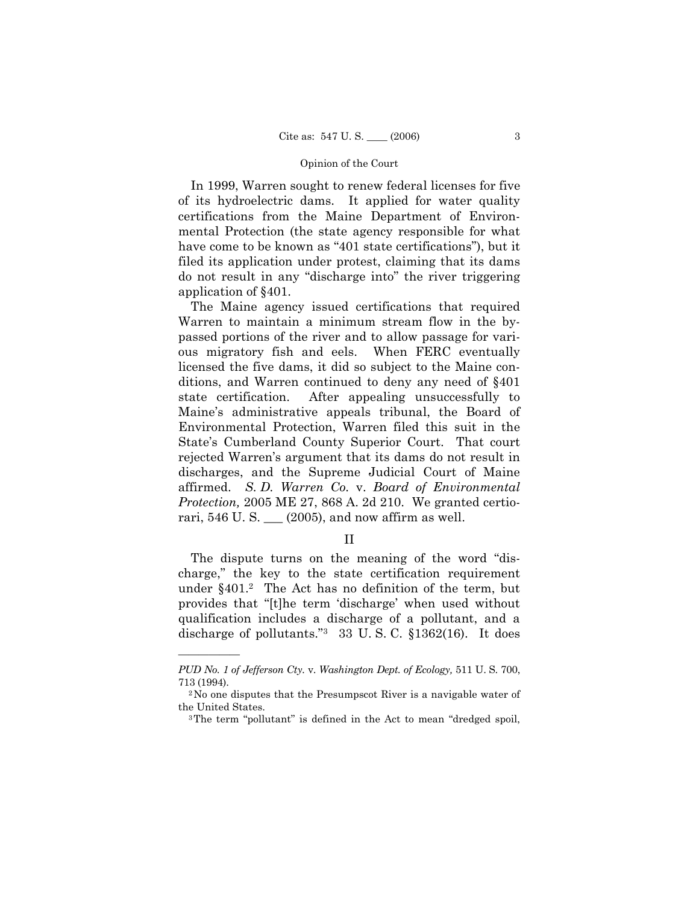In 1999, Warren sought to renew federal licenses for five of its hydroelectric dams. It applied for water quality certifications from the Maine Department of Environmental Protection (the state agency responsible for what have come to be known as "401 state certifications"), but it filed its application under protest, claiming that its dams do not result in any "discharge into" the river triggering application of ß401.

 The Maine agency issued certifications that required Warren to maintain a minimum stream flow in the bypassed portions of the river and to allow passage for various migratory fish and eels. When FERC eventually licensed the five dams, it did so subject to the Maine conditions, and Warren continued to deny any need of ß401 state certification. After appealing unsuccessfully to Maine's administrative appeals tribunal, the Board of Environmental Protection, Warren filed this suit in the State's Cumberland County Superior Court. That court rejected Warrenís argument that its dams do not result in discharges, and the Supreme Judicial Court of Maine affirmed. *S. D. Warren Co.* v. *Board of Environmental Protection,* 2005 ME 27, 868 A. 2d 210. We granted certiorari,  $546$  U. S.  $\_\_$  (2005), and now affirm as well.

II

The dispute turns on the meaning of the word "discharge," the key to the state certification requirement under ß401.2 The Act has no definition of the term, but provides that "[t]he term 'discharge' when used without qualification includes a discharge of a pollutant, and a discharge of pollutants."<sup>3</sup> 33 U.S.C.  $$1362(16)$ . It does

*PUD No. 1 of Jefferson Cty.* v. *Washington Dept. of Ecology,* 511 U. S. 700, 713 (1994).<br><sup>2</sup>No one disputes that the Presumpscot River is a navigable water of

the United States.<br><sup>3</sup>The term "pollutant" is defined in the Act to mean "dredged spoil,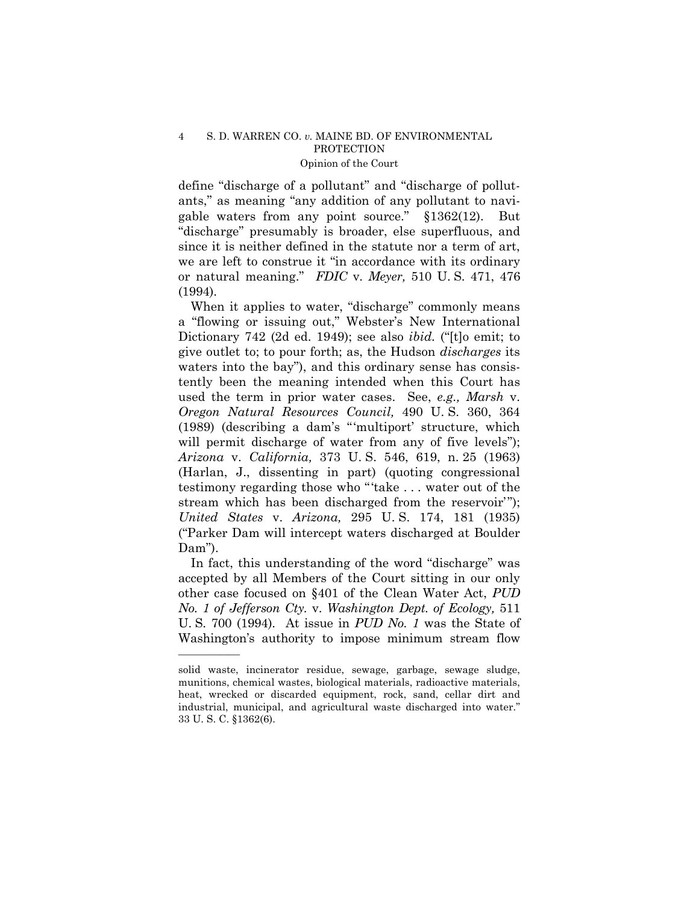define "discharge of a pollutant" and "discharge of pollutants," as meaning "any addition of any pollutant to navigable waters from any point source."  $$1362(12)$ . But ìdischargeî presumably is broader, else superfluous, and since it is neither defined in the statute nor a term of art, we are left to construe it "in accordance with its ordinary or natural meaning.î *FDIC* v. *Meyer,* 510 U. S. 471, 476 (1994).

When it applies to water, "discharge" commonly means a "flowing or issuing out," Webster's New International Dictionary 742 (2d ed. 1949); see also *ibid.* ("[t]o emit; to give outlet to; to pour forth; as, the Hudson *discharges* its waters into the bay"), and this ordinary sense has consistently been the meaning intended when this Court has used the term in prior water cases. See, *e.g., Marsh* v. *Oregon Natural Resources Council,* 490 U. S. 360, 364  $(1989)$  (describing a dam's "'multiport' structure, which will permit discharge of water from any of five levels"); *Arizona* v. *California,* 373 U. S. 546, 619, n. 25 (1963) (Harlan, J., dissenting in part) (quoting congressional testimony regarding those who "'take . . . water out of the stream which has been discharged from the reservoir"); *United States* v. *Arizona,* 295 U. S. 174, 181 (1935) ("Parker Dam will intercept waters discharged at Boulder Dam").

In fact, this understanding of the word "discharge" was accepted by all Members of the Court sitting in our only other case focused on ß401 of the Clean Water Act, *PUD No. 1 of Jefferson Cty.* v. *Washington Dept. of Ecology,* 511 U. S. 700 (1994). At issue in *PUD No. 1* was the State of Washington's authority to impose minimum stream flow

solid waste, incinerator residue, sewage, garbage, sewage sludge, munitions, chemical wastes, biological materials, radioactive materials, heat, wrecked or discarded equipment, rock, sand, cellar dirt and industrial, municipal, and agricultural waste discharged into water." 33 U. S. C. ß1362(6).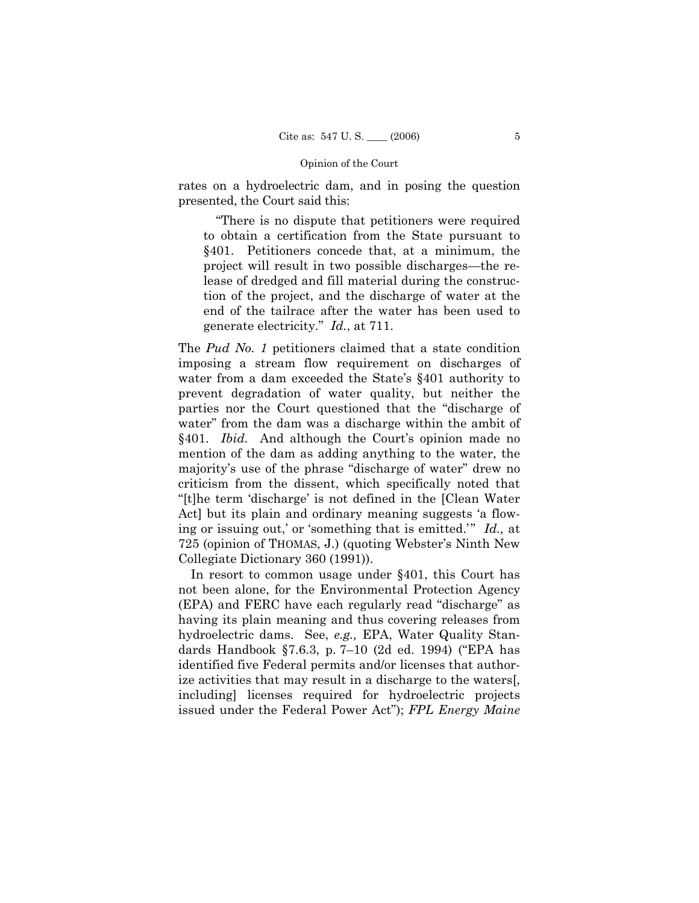rates on a hydroelectric dam, and in posing the question presented, the Court said this:

 ìThere is no dispute that petitioners were required to obtain a certification from the State pursuant to ß401. Petitioners concede that, at a minimum, the project will result in two possible discharges—the release of dredged and fill material during the construction of the project, and the discharge of water at the end of the tailrace after the water has been used to generate electricity.î *Id.*, at 711.

The *Pud No. 1* petitioners claimed that a state condition imposing a stream flow requirement on discharges of water from a dam exceeded the State's §401 authority to prevent degradation of water quality, but neither the parties nor the Court questioned that the "discharge of water" from the dam was a discharge within the ambit of §401. *Ibid.* And although the Court's opinion made no mention of the dam as adding anything to the water, the majority's use of the phrase "discharge of water" drew no criticism from the dissent, which specifically noted that ì[t]he term ëdischargeí is not defined in the [Clean Water Act] but its plain and ordinary meaning suggests 'a flowing or issuing out,' or 'something that is emitted.'" *Id.*, at 725 (opinion of THOMAS, J.) (quoting Websterís Ninth New Collegiate Dictionary 360 (1991)).

 In resort to common usage under ß401, this Court has not been alone, for the Environmental Protection Agency (EPA) and FERC have each regularly read "discharge" as having its plain meaning and thus covering releases from hydroelectric dams. See, *e.g.,* EPA, Water Quality Standards Handbook §7.6.3, p. 7-10 (2d ed. 1994) ("EPA has identified five Federal permits and/or licenses that authorize activities that may result in a discharge to the waters[, including] licenses required for hydroelectric projects issued under the Federal Power Act"; *FPL Energy Maine*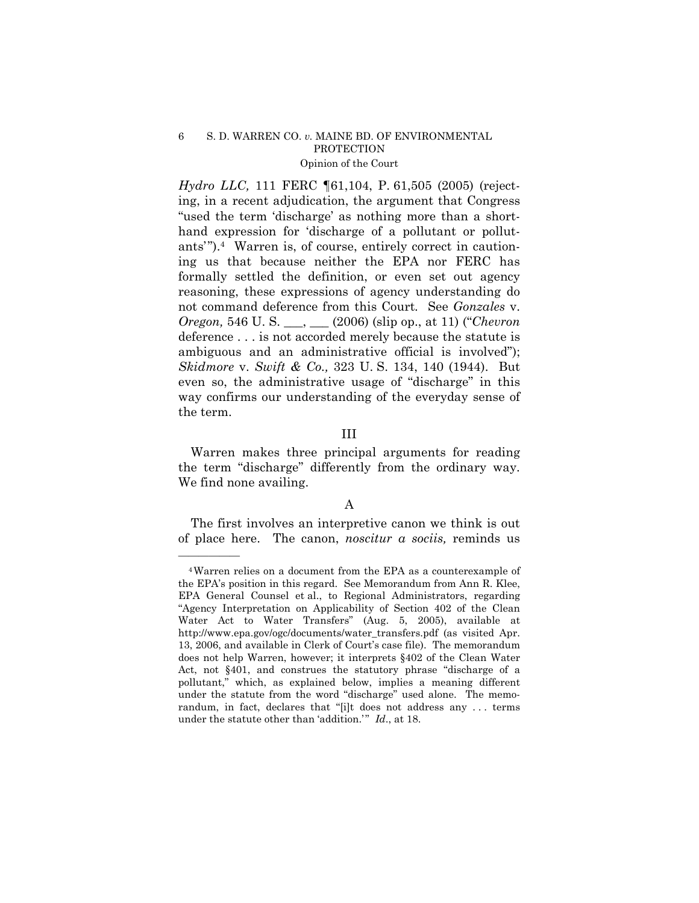*Hydro LLC,* 111 FERC ¶61,104, P. 61,505 (2005) (rejecting, in a recent adjudication, the argument that Congress "used the term 'discharge' as nothing more than a shorthand expression for 'discharge of a pollutant or pollutants'"). $4$  Warren is, of course, entirely correct in cautioning us that because neither the EPA nor FERC has formally settled the definition, or even set out agency reasoning, these expressions of agency understanding do not command deference from this Court*.* See *Gonzales* v. *Oregon,* 546 U.S. \_\_, \_\_ (2006) (slip op., at 11) ("*Chevron* deference . . . is not accorded merely because the statute is ambiguous and an administrative official is involved"); *Skidmore* v. *Swift & Co.,* 323 U. S. 134, 140 (1944).But even so, the administrative usage of "discharge" in this way confirms our understanding of the everyday sense of the term.

# III

 Warren makes three principal arguments for reading the term "discharge" differently from the ordinary way. We find none availing.

# A

 The first involves an interpretive canon we think is out of place here. The canon, *noscitur a sociis,* reminds us

<sup>4</sup>Warren relies on a document from the EPA as a counterexample of the EPAís position in this regard. See Memorandum from Ann R. Klee, EPA General Counsel et al., to Regional Administrators, regarding ìAgency Interpretation on Applicability of Section 402 of the Clean Water Act to Water Transfers" (Aug. 5, 2005), available at http://www.epa.gov/ogc/documents/water\_transfers.pdf (as visited Apr. 13, 2006, and available in Clerk of Court's case file). The memorandum does not help Warren, however; it interprets ß402 of the Clean Water Act, not  $§401$ , and construes the statutory phrase "discharge of a pollutant," which, as explained below, implies a meaning different under the statute from the word "discharge" used alone. The memorandum, in fact, declares that "[i]t does not address any ... terms under the statute other than 'addition.<sup>7</sup> *Id*., at 18.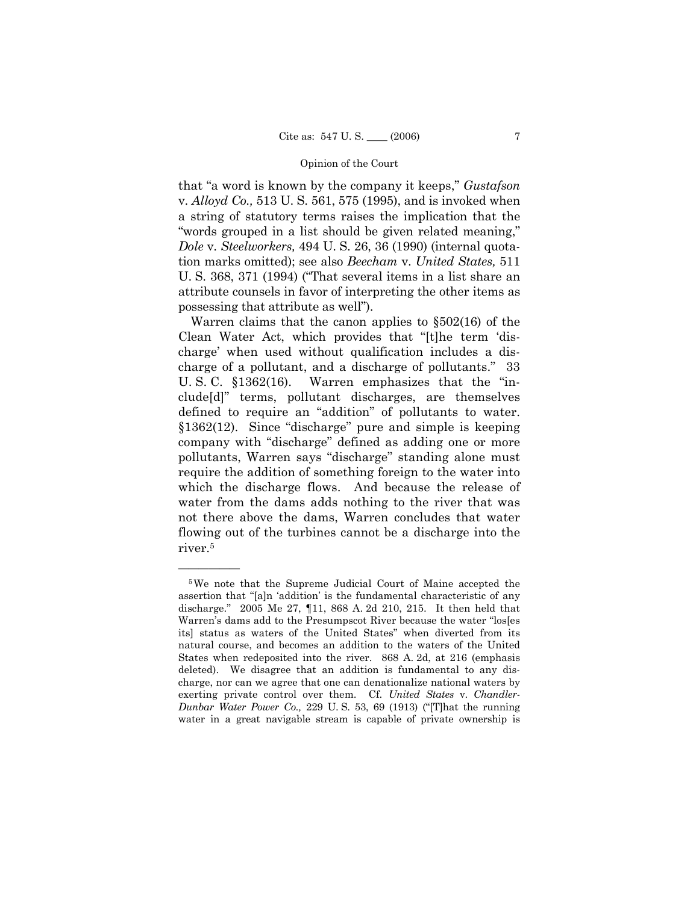that "a word is known by the company it keeps," *Gustafson* v. *Alloyd Co.,* 513 U. S. 561, 575 (1995), and is invoked when a string of statutory terms raises the implication that the "words grouped in a list should be given related meaning," *Dole* v. *Steelworkers,* 494 U. S. 26, 36 (1990) (internal quotation marks omitted); see also *Beecham* v. *United States,* 511 U. S.  $368$ ,  $371$  (1994) ("That several items in a list share an attribute counsels in favor of interpreting the other items as possessing that attribute as wellî).

Warren claims that the canon applies to  $\S502(16)$  of the Clean Water Act, which provides that "[t]he term 'dischargeí when used without qualification includes a discharge of a pollutant, and a discharge of pollutants." 33 U. S. C.  $$1362(16)$ . Warren emphasizes that the "include[d]î terms, pollutant discharges, are themselves defined to require an "addition" of pollutants to water.  $$1362(12)$ . Since "discharge" pure and simple is keeping company with "discharge" defined as adding one or more pollutants, Warren says "discharge" standing alone must require the addition of something foreign to the water into which the discharge flows. And because the release of water from the dams adds nothing to the river that was not there above the dams, Warren concludes that water flowing out of the turbines cannot be a discharge into the river.5

<sup>5</sup>We note that the Supreme Judicial Court of Maine accepted the assertion that "[a]n 'addition' is the fundamental characteristic of any discharge.î2005 Me 27, ¶11, 868 A. 2d 210, 215. It then held that Warren's dams add to the Presumpscot River because the water "los[es its] status as waters of the United States" when diverted from its natural course, and becomes an addition to the waters of the United States when redeposited into the river. 868 A. 2d, at 216 (emphasis deleted). We disagree that an addition is fundamental to any discharge, nor can we agree that one can denationalize national waters by exerting private control over them. Cf. *United States* v. *Chandler-Dunbar Water Power Co., 229 U.S. 53, 69 (1913)* ("That the running" water in a great navigable stream is capable of private ownership is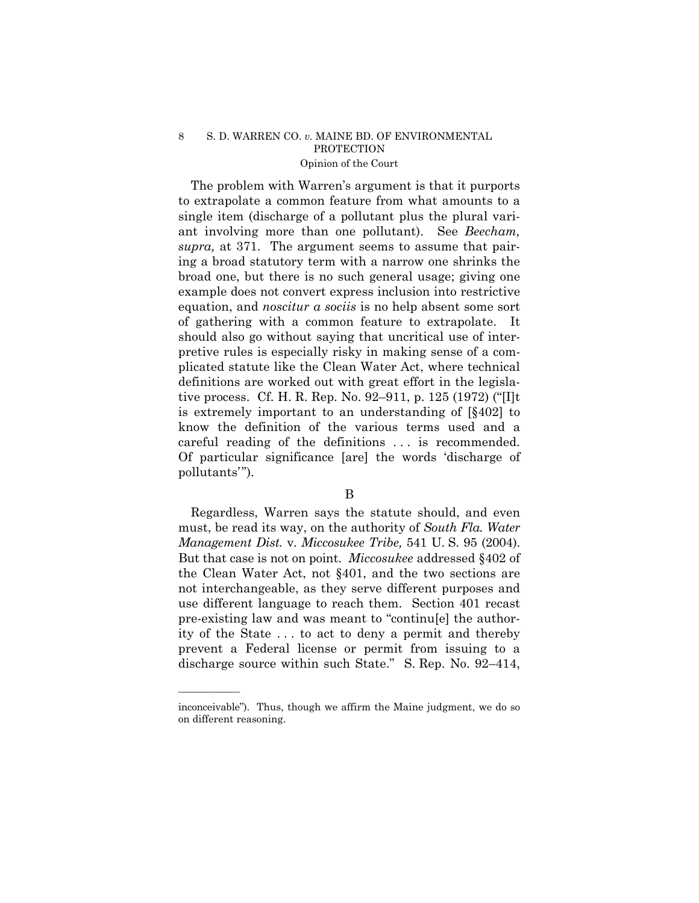The problem with Warren's argument is that it purports to extrapolate a common feature from what amounts to a single item (discharge of a pollutant plus the plural variant involving more than one pollutant). See *Beecham, supra,* at 371. The argument seems to assume that pairing a broad statutory term with a narrow one shrinks the broad one, but there is no such general usage; giving one example does not convert express inclusion into restrictive equation, and *noscitur a sociis* is no help absent some sort of gathering with a common feature to extrapolate. It should also go without saying that uncritical use of interpretive rules is especially risky in making sense of a complicated statute like the Clean Water Act, where technical definitions are worked out with great effort in the legislative process. Cf. H. R. Rep. No. 92–911, p. 125 (1972) ("[I]t] is extremely important to an understanding of [ß402] to know the definition of the various terms used and a careful reading of the definitions . . . is recommended. Of particular significance [are] the words ëdischarge of pollutants'").

## B

 Regardless, Warren says the statute should, and even must, be read its way, on the authority of *South Fla. Water Management Dist.* v. *Miccosukee Tribe,* 541 U. S. 95 (2004). But that case is not on point. *Miccosukee* addressed ß402 of the Clean Water Act, not ß401, and the two sections are not interchangeable, as they serve different purposes and use different language to reach them. Section 401 recast pre-existing law and was meant to "continu[e] the authority of the State . . . to act to deny a permit and thereby prevent a Federal license or permit from issuing to a discharge source within such State." S. Rep. No.  $92-414$ ,

inconceivable"). Thus, though we affirm the Maine judgment, we do so on different reasoning.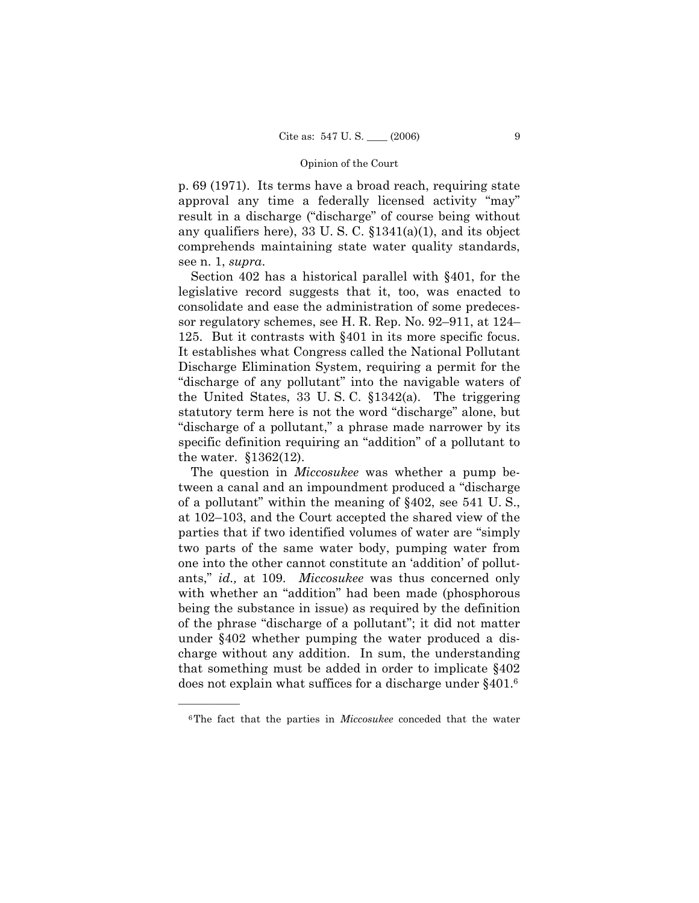p. 69 (1971). Its terms have a broad reach, requiring state approval any time a federally licensed activity "may" result in a discharge ("discharge" of course being without any qualifiers here), 33 U.S.C.  $$1341(a)(1)$ , and its object comprehends maintaining state water quality standards, see n. 1, *supra*.

Section 402 has a historical parallel with §401, for the legislative record suggests that it, too, was enacted to consolidate and ease the administration of some predecessor regulatory schemes, see H. R. Rep. No.  $92-911$ , at  $124-$ 125. But it contrasts with ß401 in its more specific focus. It establishes what Congress called the National Pollutant Discharge Elimination System, requiring a permit for the "discharge of any pollutant" into the navigable waters of the United States, 33 U. S. C. ß1342(a). The triggering statutory term here is not the word "discharge" alone, but "discharge of a pollutant," a phrase made narrower by its specific definition requiring an "addition" of a pollutant to the water. ß1362(12).

 The question in *Miccosukee* was whether a pump between a canal and an impoundment produced a "discharge" of a pollutant" within the meaning of  $\S 402$ , see 541 U.S., at  $102-103$ , and the Court accepted the shared view of the parties that if two identified volumes of water are "simply two parts of the same water body, pumping water from one into the other cannot constitute an 'addition' of pollutants," *id.*, at 109. *Miccosukee* was thus concerned only with whether an "addition" had been made (phosphorous being the substance in issue) as required by the definition of the phrase "discharge of a pollutant"; it did not matter under ß402 whether pumping the water produced a discharge without any addition. In sum, the understanding that something must be added in order to implicate  $§402$ does not explain what suffices for a discharge under §401.<sup>6</sup>

<sup>6</sup>The fact that the parties in *Miccosukee* conceded that the water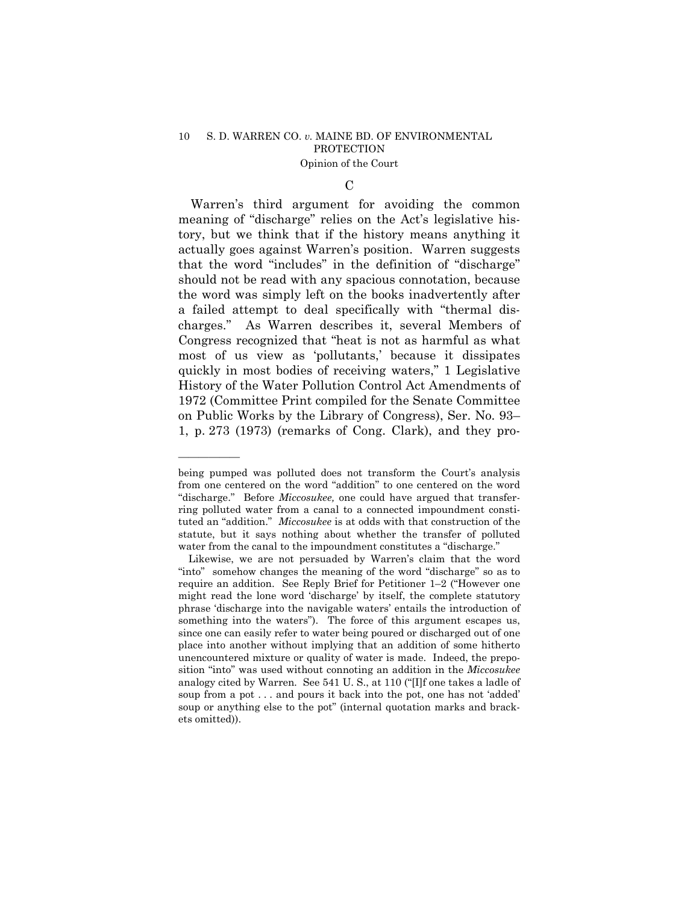$\mathcal{C}$ 

 Warrenís third argument for avoiding the common meaning of "discharge" relies on the Act's legislative history, but we think that if the history means anything it actually goes against Warrenís position. Warren suggests that the word "includes" in the definition of "discharge" should not be read with any spacious connotation, because the word was simply left on the books inadvertently after a failed attempt to deal specifically with "thermal discharges.î As Warren describes it, several Members of Congress recognized that "heat is not as harmful as what most of us view as 'pollutants,' because it dissipates quickly in most bodies of receiving waters," 1 Legislative History of the Water Pollution Control Act Amendments of 1972 (Committee Print compiled for the Senate Committee on Public Works by the Library of Congress), Ser. No. 93– 1, p. 273 (1973) (remarks of Cong. Clark), and they pro-

being pumped was polluted does not transform the Court's analysis from one centered on the word "addition" to one centered on the word ìdischarge.î Before *Miccosukee,* one could have argued that transferring polluted water from a canal to a connected impoundment constituted an "addition." *Miccosukee* is at odds with that construction of the statute, but it says nothing about whether the transfer of polluted water from the canal to the impoundment constitutes a "discharge."

Likewise, we are not persuaded by Warren's claim that the word "into" somehow changes the meaning of the word "discharge" so as to require an addition. See Reply Brief for Petitioner 1–2 ("However one might read the lone word 'discharge' by itself, the complete statutory phrase 'discharge into the navigable waters' entails the introduction of something into the waters"). The force of this argument escapes us, since one can easily refer to water being poured or discharged out of one place into another without implying that an addition of some hitherto unencountered mixture or quality of water is made. Indeed, the preposition "into" was used without connoting an addition in the *Miccosukee* analogy cited by Warren. See 541 U.S., at 110 ("[I]f one takes a ladle of soup from a pot . . . and pours it back into the pot, one has not 'added' soup or anything else to the pot" (internal quotation marks and brackets omitted)).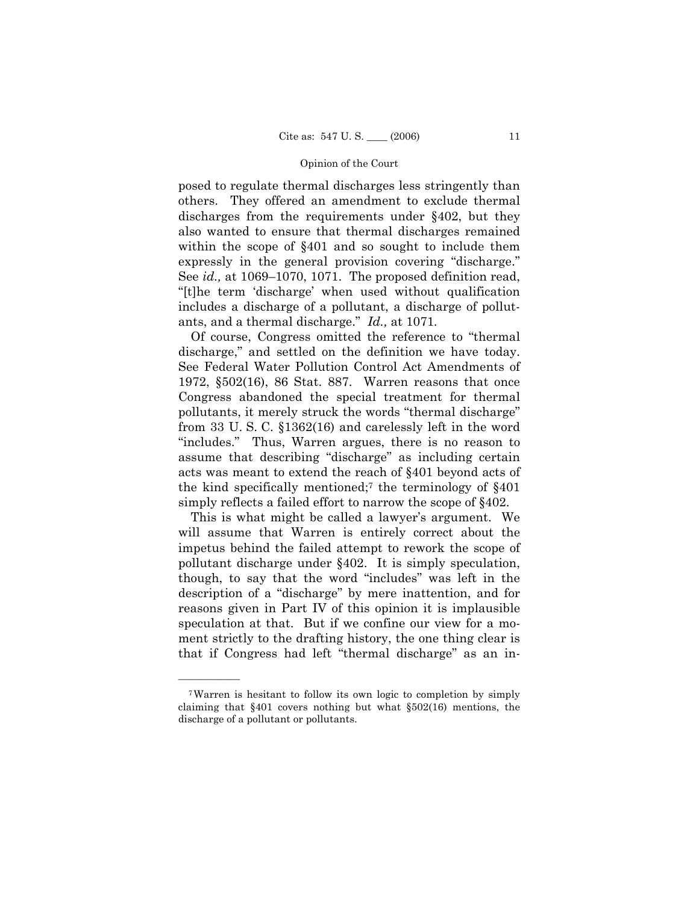posed to regulate thermal discharges less stringently than others. They offered an amendment to exclude thermal discharges from the requirements under ß402, but they also wanted to ensure that thermal discharges remained within the scope of §401 and so sought to include them expressly in the general provision covering "discharge." See *id.*, at 1069–1070, 1071. The proposed definition read, ì[t]he term ëdischargeí when used without qualification includes a discharge of a pollutant, a discharge of pollutants, and a thermal discharge.î *Id.,* at 1071*.*

Of course, Congress omitted the reference to "thermal" discharge," and settled on the definition we have today. See Federal Water Pollution Control Act Amendments of 1972, ß502(16), 86 Stat. 887. Warren reasons that once Congress abandoned the special treatment for thermal pollutants, it merely struck the words "thermal discharge" from 33 U. S. C. ß1362(16) and carelessly left in the word "includes." Thus, Warren argues, there is no reason to assume that describing "discharge" as including certain acts was meant to extend the reach of ß401 beyond acts of the kind specifically mentioned;<sup>7</sup> the terminology of  $\S 401$ simply reflects a failed effort to narrow the scope of  $\S 402$ .

This is what might be called a lawyer's argument. We will assume that Warren is entirely correct about the impetus behind the failed attempt to rework the scope of pollutant discharge under ß402. It is simply speculation, though, to say that the word "includes" was left in the description of a "discharge" by mere inattention, and for reasons given in Part IV of this opinion it is implausible speculation at that. But if we confine our view for a moment strictly to the drafting history, the one thing clear is that if Congress had left "thermal discharge" as an in-

<sup>7</sup>Warren is hesitant to follow its own logic to completion by simply claiming that ß401 covers nothing but what ß502(16) mentions, the discharge of a pollutant or pollutants.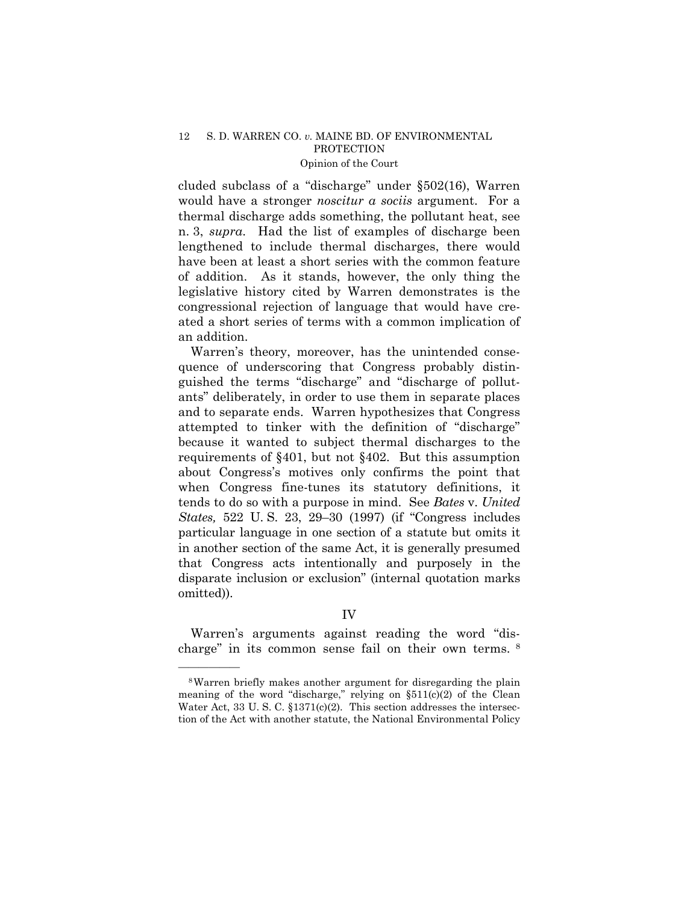cluded subclass of a "discharge" under  $\S502(16)$ , Warren would have a stronger *noscitur a sociis* argument. For a thermal discharge adds something, the pollutant heat, see n. 3, *supra*. Had the list of examples of discharge been lengthened to include thermal discharges, there would have been at least a short series with the common feature of addition. As it stands, however, the only thing the legislative history cited by Warren demonstrates is the congressional rejection of language that would have created a short series of terms with a common implication of an addition.

 Warrenís theory, moreover, has the unintended consequence of underscoring that Congress probably distinguished the terms "discharge" and "discharge of pollutants" deliberately, in order to use them in separate places and to separate ends. Warren hypothesizes that Congress attempted to tinker with the definition of "discharge" because it wanted to subject thermal discharges to the requirements of  $\S 401$ , but not  $\S 402$ . But this assumption about Congressís motives only confirms the point that when Congress fine-tunes its statutory definitions, it tends to do so with a purpose in mind. See *Bates* v. *United States,* 522 U.S. 23, 29–30 (1997) (if "Congress includes particular language in one section of a statute but omits it in another section of the same Act, it is generally presumed that Congress acts intentionally and purposely in the disparate inclusion or exclusion" (internal quotation marks omitted)).

# IV

Warren's arguments against reading the word "discharge" in its common sense fail on their own terms.  $8$ 

<sup>8</sup>Warren briefly makes another argument for disregarding the plain meaning of the word "discharge," relying on  $$511(c)(2)$  of the Clean Water Act, 33 U.S. C.  $$1371(c)(2)$ . This section addresses the intersection of the Act with another statute, the National Environmental Policy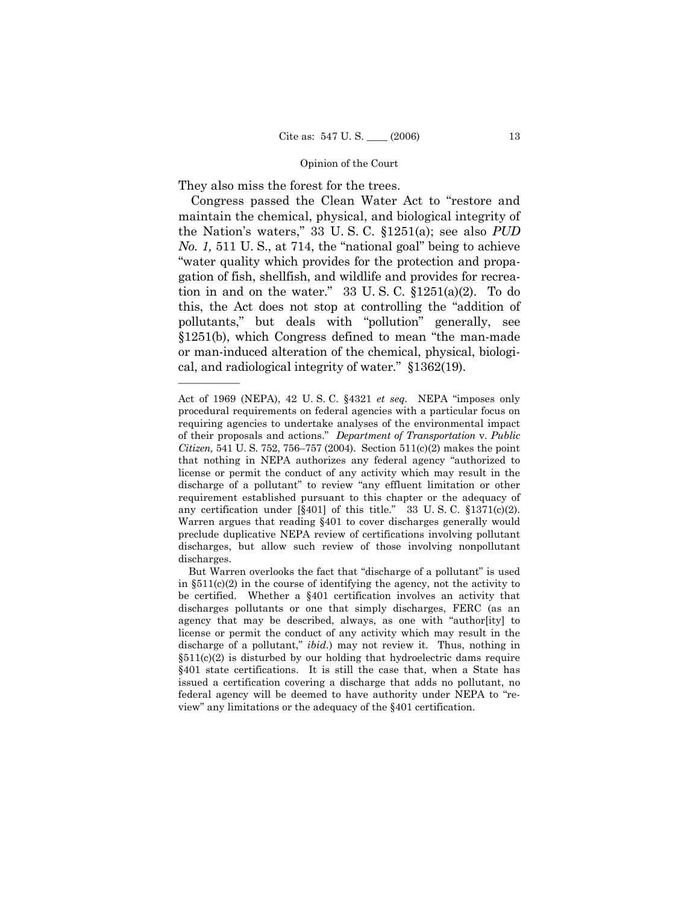They also miss the forest for the trees.

<u>óóóóóóóóóóóóóó</u>

Congress passed the Clean Water Act to "restore and maintain the chemical, physical, and biological integrity of the Nation's waters," 33 U.S.C. §1251(a); see also *PUD No. 1,* 511 U.S., at 714, the "national goal" being to achieve ìwater quality which provides for the protection and propagation of fish, shellfish, and wildlife and provides for recreation in and on the water." 33 U.S.C.  $\S 1251(a)(2)$ . To do this, the Act does not stop at controlling the "addition of pollutants," but deals with "pollution" generally, see  $$1251(b)$ , which Congress defined to mean "the man-made" or man-induced alteration of the chemical, physical, biological, and radiological integrity of water. $\degree$  §1362(19).

Act of 1969 (NEPA), 42 U.S.C. §4321 *et seq.* NEPA "imposes only procedural requirements on federal agencies with a particular focus on requiring agencies to undertake analyses of the environmental impact of their proposals and actions.î *Department of Transportation* v. *Public Citizen,* 541 U. S. 752, 756–757 (2004). Section 511(c)(2) makes the point that nothing in NEPA authorizes any federal agency "authorized to license or permit the conduct of any activity which may result in the discharge of a pollutant" to review "any effluent limitation or other requirement established pursuant to this chapter or the adequacy of any certification under  $[\S 401]$  of this title." 33 U.S.C.  $\S 1371(c)(2)$ . Warren argues that reading ß401 to cover discharges generally would preclude duplicative NEPA review of certifications involving pollutant discharges, but allow such review of those involving nonpollutant discharges.

But Warren overlooks the fact that "discharge of a pollutant" is used in  $$511(c)(2)$  in the course of identifying the agency, not the activity to be certified. Whether a ß401 certification involves an activity that discharges pollutants or one that simply discharges, FERC (as an agency that may be described, always, as one with "author[ity] to license or permit the conduct of any activity which may result in the discharge of a pollutant," *ibid.*) may not review it. Thus, nothing in  $§511(c)(2)$  is disturbed by our holding that hydroelectric dams require ß401 state certifications. It is still the case that, when a State has issued a certification covering a discharge that adds no pollutant, no federal agency will be deemed to have authority under NEPA to "reviewî any limitations or the adequacy of the ß401 certification.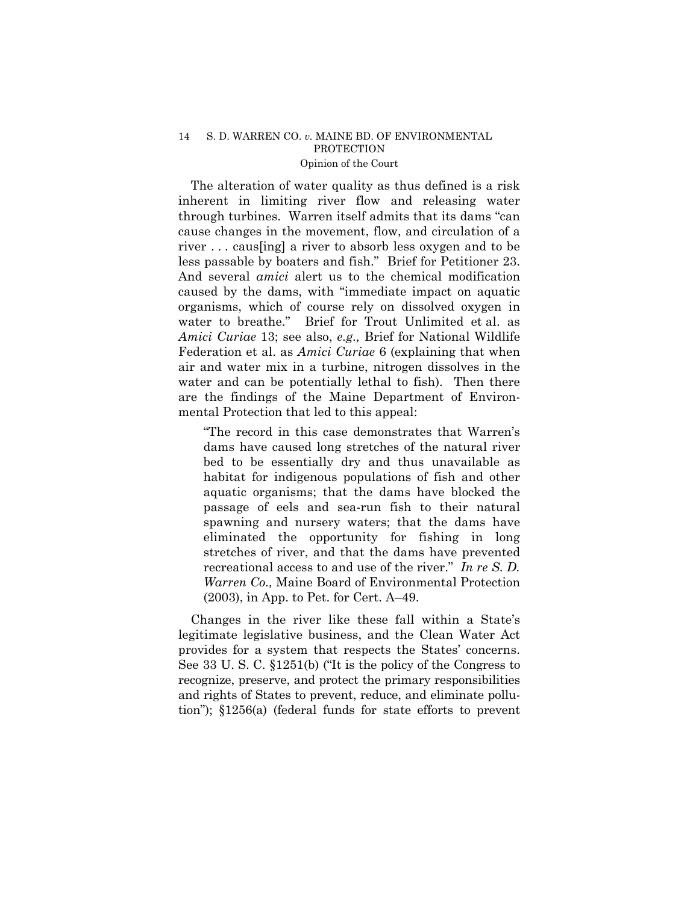The alteration of water quality as thus defined is a risk inherent in limiting river flow and releasing water through turbines. Warren itself admits that its dams "can cause changes in the movement, flow, and circulation of a river . . . caus[ing] a river to absorb less oxygen and to be less passable by boaters and fish." Brief for Petitioner 23. And several *amici* alert us to the chemical modification caused by the dams, with "immediate impact on aquatic organisms, which of course rely on dissolved oxygen in water to breathe." Brief for Trout Unlimited et al. as *Amici Curiae* 13; see also, *e.g.,* Brief for National Wildlife Federation et al. as *Amici Curiae* 6 (explaining that when air and water mix in a turbine, nitrogen dissolves in the water and can be potentially lethal to fish). Then there are the findings of the Maine Department of Environmental Protection that led to this appeal:

"The record in this case demonstrates that Warren's dams have caused long stretches of the natural river bed to be essentially dry and thus unavailable as habitat for indigenous populations of fish and other aquatic organisms; that the dams have blocked the passage of eels and sea-run fish to their natural spawning and nursery waters; that the dams have eliminated the opportunity for fishing in long stretches of river, and that the dams have prevented recreational access to and use of the river.<sup>n</sup> In re S. D. *Warren Co.,* Maine Board of Environmental Protection  $(2003)$ , in App. to Pet. for Cert. A-49.

Changes in the river like these fall within a State's legitimate legislative business, and the Clean Water Act provides for a system that respects the Statesí concerns. See 33 U.S.C.  $$1251(b)$  ('It is the policy of the Congress to recognize, preserve, and protect the primary responsibilities and rights of States to prevent, reduce, and eliminate pollutionî); ß1256(a) (federal funds for state efforts to prevent